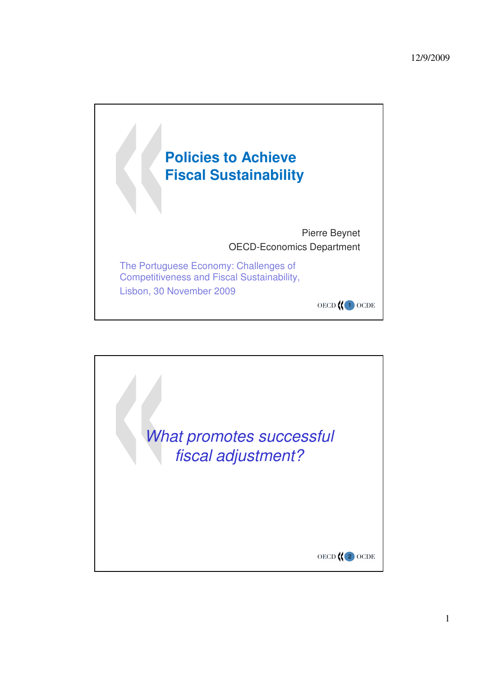

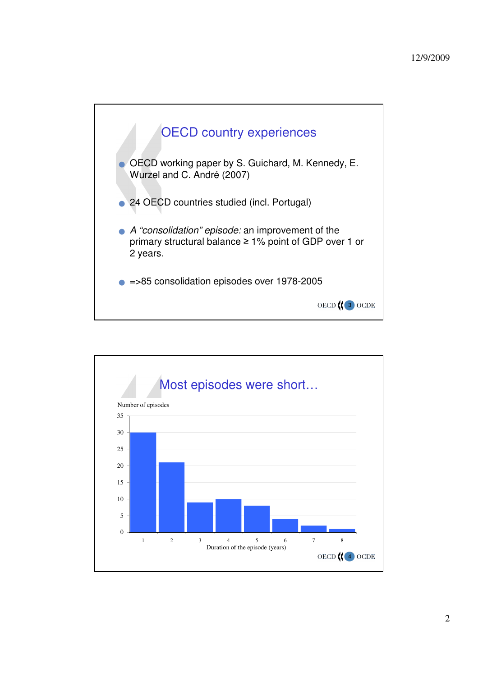



2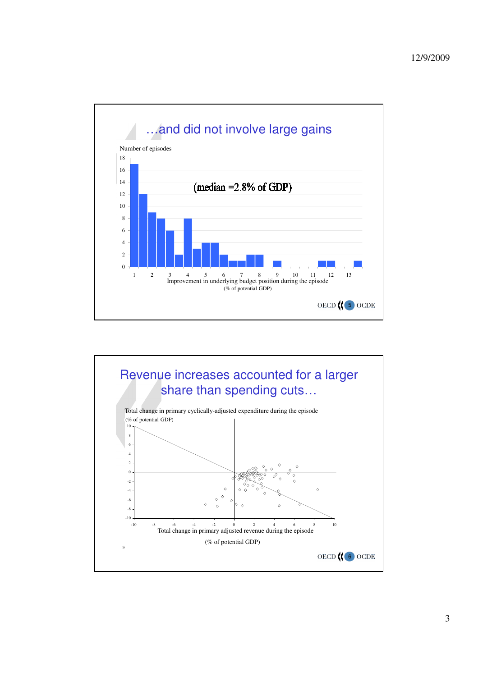

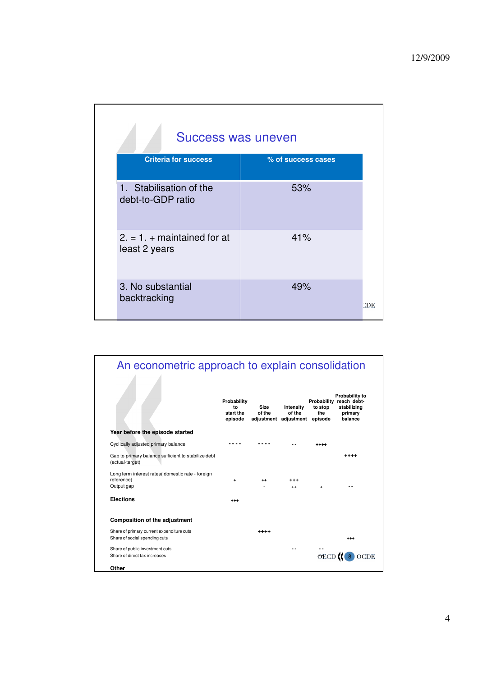| Success was uneven                             |                    |     |
|------------------------------------------------|--------------------|-----|
| <b>Criteria for success</b>                    | % of success cases |     |
| 1. Stabilisation of the<br>debt-to-GDP ratio   | 53%                |     |
| $2. = 1. + maintained$ for at<br>least 2 years | 41%                |     |
| 3. No substantial<br>backtracking              | 49%                | CDE |

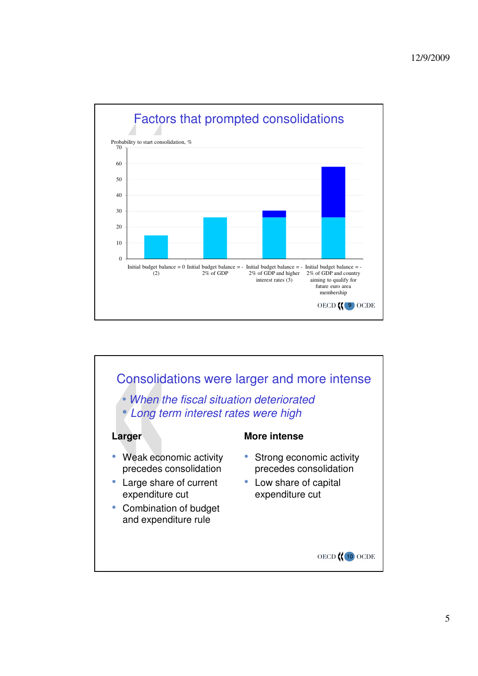

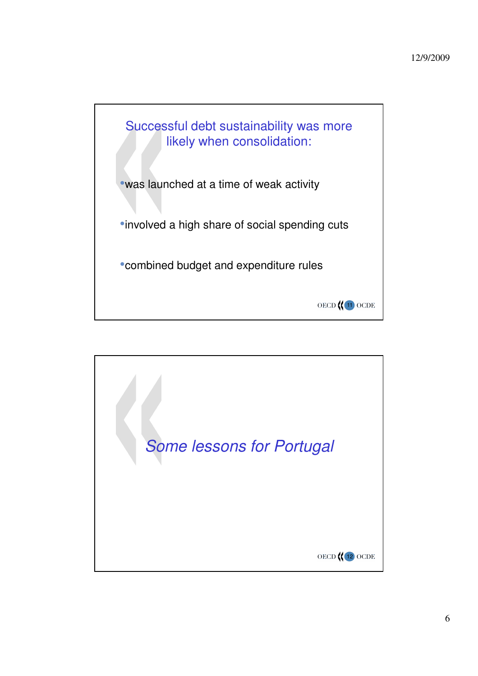

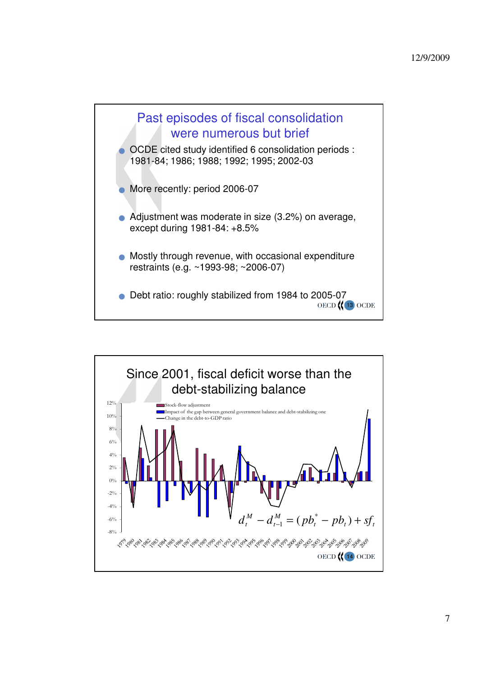

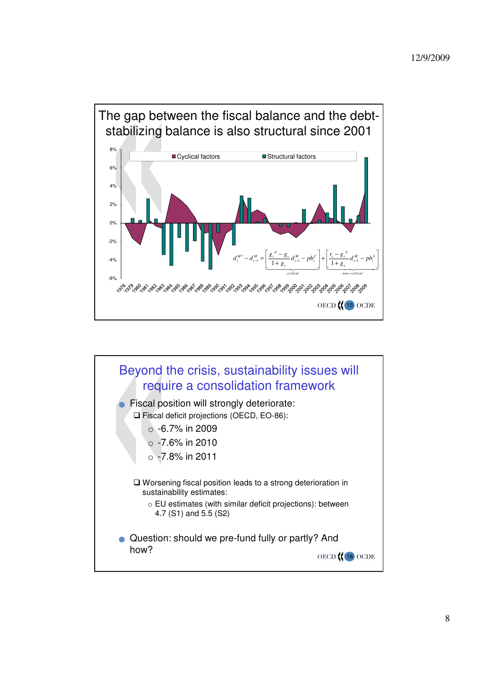

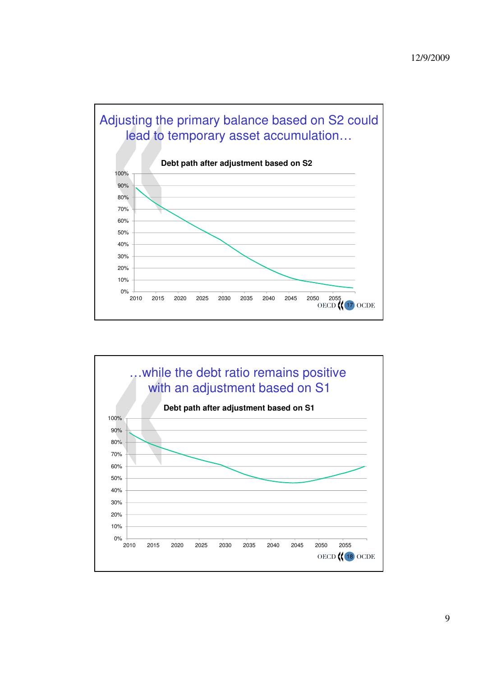

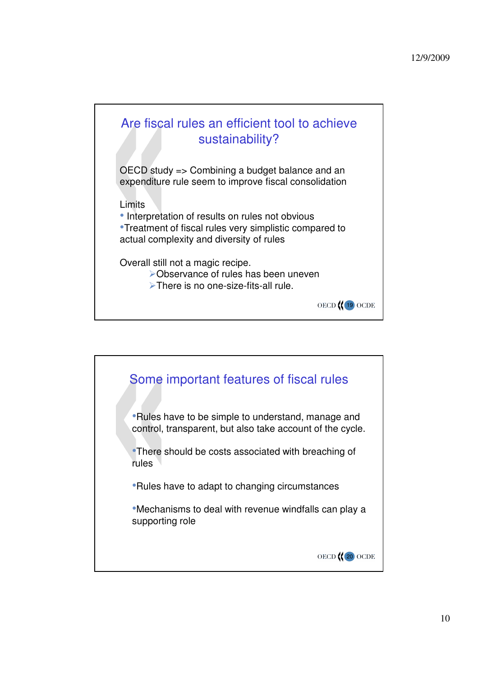